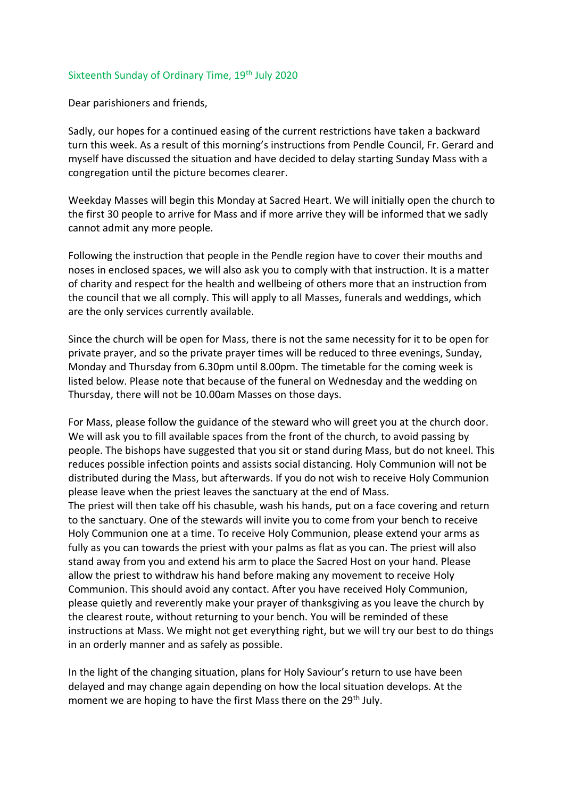## Sixteenth Sunday of Ordinary Time, 19<sup>th</sup> July 2020

Dear parishioners and friends,

Sadly, our hopes for a continued easing of the current restrictions have taken a backward turn this week. As a result of this morning's instructions from Pendle Council, Fr. Gerard and myself have discussed the situation and have decided to delay starting Sunday Mass with a congregation until the picture becomes clearer.

Weekday Masses will begin this Monday at Sacred Heart. We will initially open the church to the first 30 people to arrive for Mass and if more arrive they will be informed that we sadly cannot admit any more people.

Following the instruction that people in the Pendle region have to cover their mouths and noses in enclosed spaces, we will also ask you to comply with that instruction. It is a matter of charity and respect for the health and wellbeing of others more that an instruction from the council that we all comply. This will apply to all Masses, funerals and weddings, which are the only services currently available.

Since the church will be open for Mass, there is not the same necessity for it to be open for private prayer, and so the private prayer times will be reduced to three evenings, Sunday, Monday and Thursday from 6.30pm until 8.00pm. The timetable for the coming week is listed below. Please note that because of the funeral on Wednesday and the wedding on Thursday, there will not be 10.00am Masses on those days.

For Mass, please follow the guidance of the steward who will greet you at the church door. We will ask you to fill available spaces from the front of the church, to avoid passing by people. The bishops have suggested that you sit or stand during Mass, but do not kneel. This reduces possible infection points and assists social distancing. Holy Communion will not be distributed during the Mass, but afterwards. If you do not wish to receive Holy Communion please leave when the priest leaves the sanctuary at the end of Mass.

The priest will then take off his chasuble, wash his hands, put on a face covering and return to the sanctuary. One of the stewards will invite you to come from your bench to receive Holy Communion one at a time. To receive Holy Communion, please extend your arms as fully as you can towards the priest with your palms as flat as you can. The priest will also stand away from you and extend his arm to place the Sacred Host on your hand. Please allow the priest to withdraw his hand before making any movement to receive Holy Communion. This should avoid any contact. After you have received Holy Communion, please quietly and reverently make your prayer of thanksgiving as you leave the church by the clearest route, without returning to your bench. You will be reminded of these instructions at Mass. We might not get everything right, but we will try our best to do things in an orderly manner and as safely as possible.

In the light of the changing situation, plans for Holy Saviour's return to use have been delayed and may change again depending on how the local situation develops. At the moment we are hoping to have the first Mass there on the 29<sup>th</sup> July.